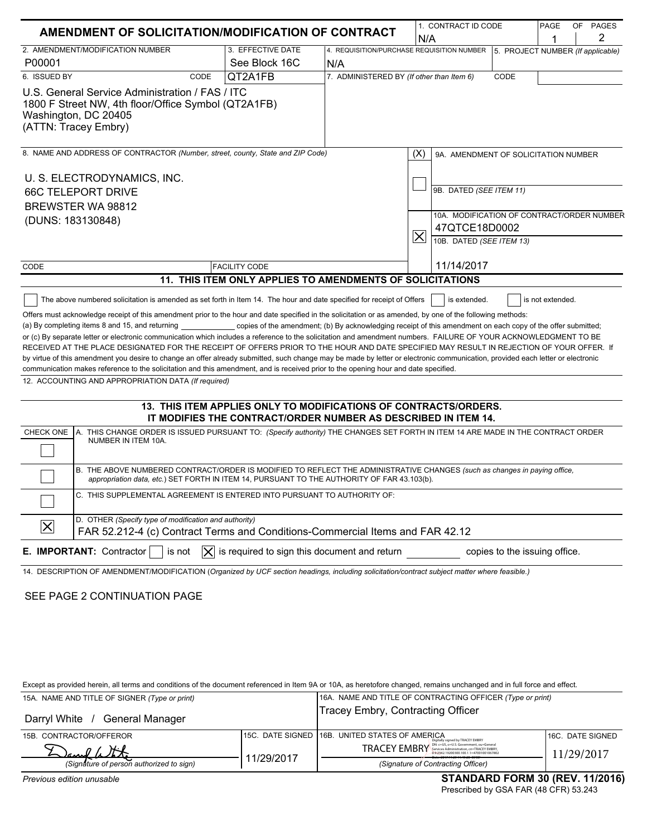| AMENDMENT OF SOLICITATION/MODIFICATION OF CONTRACT                                                                                                                                                                                                                                                                                                                                                                                                                                                                                                                                                                                                                                                                                                                                                                                                                           |                                                                                                                                    |                                                            | 1. CONTRACT ID CODE                                                                         |                                                                                         | PAGE | OF PAGES                          |
|------------------------------------------------------------------------------------------------------------------------------------------------------------------------------------------------------------------------------------------------------------------------------------------------------------------------------------------------------------------------------------------------------------------------------------------------------------------------------------------------------------------------------------------------------------------------------------------------------------------------------------------------------------------------------------------------------------------------------------------------------------------------------------------------------------------------------------------------------------------------------|------------------------------------------------------------------------------------------------------------------------------------|------------------------------------------------------------|---------------------------------------------------------------------------------------------|-----------------------------------------------------------------------------------------|------|-----------------------------------|
|                                                                                                                                                                                                                                                                                                                                                                                                                                                                                                                                                                                                                                                                                                                                                                                                                                                                              |                                                                                                                                    | N/A                                                        |                                                                                             |                                                                                         | 2    |                                   |
| 2. AMENDMENT/MODIFICATION NUMBER                                                                                                                                                                                                                                                                                                                                                                                                                                                                                                                                                                                                                                                                                                                                                                                                                                             | 3. EFFECTIVE DATE                                                                                                                  | 4. REQUISITION/PURCHASE REQUISITION NUMBER                 |                                                                                             |                                                                                         |      | 5. PROJECT NUMBER (If applicable) |
| P00001                                                                                                                                                                                                                                                                                                                                                                                                                                                                                                                                                                                                                                                                                                                                                                                                                                                                       | See Block 16C                                                                                                                      | N/A                                                        |                                                                                             |                                                                                         |      |                                   |
| 6. ISSUED BY<br>CODE                                                                                                                                                                                                                                                                                                                                                                                                                                                                                                                                                                                                                                                                                                                                                                                                                                                         | QT2A1FB                                                                                                                            | 7. ADMINISTERED BY (If other than Item 6)                  |                                                                                             | CODE                                                                                    |      |                                   |
| U.S. General Service Administration / FAS / ITC<br>1800 F Street NW, 4th floor/Office Symbol (QT2A1FB)<br>Washington, DC 20405<br>(ATTN: Tracey Embry)                                                                                                                                                                                                                                                                                                                                                                                                                                                                                                                                                                                                                                                                                                                       |                                                                                                                                    |                                                            |                                                                                             |                                                                                         |      |                                   |
| 8. NAME AND ADDRESS OF CONTRACTOR (Number, street, county, State and ZIP Code)                                                                                                                                                                                                                                                                                                                                                                                                                                                                                                                                                                                                                                                                                                                                                                                               |                                                                                                                                    |                                                            | (X)<br>9A. AMENDMENT OF SOLICITATION NUMBER                                                 |                                                                                         |      |                                   |
| U. S. ELECTRODYNAMICS, INC.                                                                                                                                                                                                                                                                                                                                                                                                                                                                                                                                                                                                                                                                                                                                                                                                                                                  |                                                                                                                                    |                                                            |                                                                                             |                                                                                         |      |                                   |
| <b>66C TELEPORT DRIVE</b>                                                                                                                                                                                                                                                                                                                                                                                                                                                                                                                                                                                                                                                                                                                                                                                                                                                    |                                                                                                                                    | 9B. DATED (SEE ITEM 11)                                    |                                                                                             |                                                                                         |      |                                   |
| BREWSTER WA 98812                                                                                                                                                                                                                                                                                                                                                                                                                                                                                                                                                                                                                                                                                                                                                                                                                                                            |                                                                                                                                    |                                                            |                                                                                             |                                                                                         |      |                                   |
| (DUNS: 183130848)                                                                                                                                                                                                                                                                                                                                                                                                                                                                                                                                                                                                                                                                                                                                                                                                                                                            |                                                                                                                                    |                                                            | $\boldsymbol{\times}$                                                                       | 10A. MODIFICATION OF CONTRACT/ORDER NUMBER<br>47QTCE18D0002<br>10B. DATED (SEE ITEM 13) |      |                                   |
| CODE<br><b>FACILITY CODE</b>                                                                                                                                                                                                                                                                                                                                                                                                                                                                                                                                                                                                                                                                                                                                                                                                                                                 |                                                                                                                                    |                                                            | 11/14/2017                                                                                  |                                                                                         |      |                                   |
|                                                                                                                                                                                                                                                                                                                                                                                                                                                                                                                                                                                                                                                                                                                                                                                                                                                                              | 11. THIS ITEM ONLY APPLIES TO AMENDMENTS OF SOLICITATIONS                                                                          |                                                            |                                                                                             |                                                                                         |      |                                   |
| (a) By completing items 8 and 15, and returning ______________ copies of the amendment; (b) By acknowledging receipt of this amendment on each copy of the offer submitted;<br>or (c) By separate letter or electronic communication which includes a reference to the solicitation and amendment numbers. FAILURE OF YOUR ACKNOWLEDGMENT TO BE<br>RECEIVED AT THE PLACE DESIGNATED FOR THE RECEIPT OF OFFERS PRIOR TO THE HOUR AND DATE SPECIFIED MAY RESULT IN REJECTION OF YOUR OFFER. If<br>by virtue of this amendment you desire to change an offer already submitted, such change may be made by letter or electronic communication, provided each letter or electronic<br>communication makes reference to the solicitation and this amendment, and is received prior to the opening hour and date specified.<br>12. ACCOUNTING AND APPROPRIATION DATA (If required) | 13. THIS ITEM APPLIES ONLY TO MODIFICATIONS OF CONTRACTS/ORDERS.<br>IT MODIFIES THE CONTRACT/ORDER NUMBER AS DESCRIBED IN ITEM 14. |                                                            |                                                                                             |                                                                                         |      |                                   |
| CHECK ONE<br>A. THIS CHANGE ORDER IS ISSUED PURSUANT TO: (Specify authority) THE CHANGES SET FORTH IN ITEM 14 ARE MADE IN THE CONTRACT ORDER<br>NUMBER IN ITEM 10A.                                                                                                                                                                                                                                                                                                                                                                                                                                                                                                                                                                                                                                                                                                          |                                                                                                                                    |                                                            |                                                                                             |                                                                                         |      |                                   |
| B. THE ABOVE NUMBERED CONTRACT/ORDER IS MODIFIED TO REFLECT THE ADMINISTRATIVE CHANGES (such as changes in paying office,<br>appropriation data, etc.) SET FORTH IN ITEM 14, PURSUANT TO THE AUTHORITY OF FAR 43.103(b).                                                                                                                                                                                                                                                                                                                                                                                                                                                                                                                                                                                                                                                     |                                                                                                                                    |                                                            |                                                                                             |                                                                                         |      |                                   |
| C. THIS SUPPLEMENTAL AGREEMENT IS ENTERED INTO PURSUANT TO AUTHORITY OF:                                                                                                                                                                                                                                                                                                                                                                                                                                                                                                                                                                                                                                                                                                                                                                                                     |                                                                                                                                    |                                                            |                                                                                             |                                                                                         |      |                                   |
| D. OTHER (Specify type of modification and authority)<br>$\vert\mathsf{X}\vert$<br>FAR 52.212-4 (c) Contract Terms and Conditions-Commercial Items and FAR 42.12                                                                                                                                                                                                                                                                                                                                                                                                                                                                                                                                                                                                                                                                                                             |                                                                                                                                    |                                                            |                                                                                             |                                                                                         |      |                                   |
| E. IMPORTANT: Contractor<br>is not<br>$\times$                                                                                                                                                                                                                                                                                                                                                                                                                                                                                                                                                                                                                                                                                                                                                                                                                               | is required to sign this document and return                                                                                       |                                                            |                                                                                             | copies to the issuing office.                                                           |      |                                   |
| 14. DESCRIPTION OF AMENDMENT/MODIFICATION (Organized by UCF section headings, including solicitation/contract subject matter where feasible.)                                                                                                                                                                                                                                                                                                                                                                                                                                                                                                                                                                                                                                                                                                                                |                                                                                                                                    |                                                            |                                                                                             |                                                                                         |      |                                   |
| SEE PAGE 2 CONTINUATION PAGE                                                                                                                                                                                                                                                                                                                                                                                                                                                                                                                                                                                                                                                                                                                                                                                                                                                 |                                                                                                                                    |                                                            |                                                                                             |                                                                                         |      |                                   |
| Except as provided herein, all terms and conditions of the document referenced in Item 9A or 10A, as heretofore changed, remains unchanged and in full force and effect.<br>15A. NAME AND TITLE OF SIGNER (Type or print)                                                                                                                                                                                                                                                                                                                                                                                                                                                                                                                                                                                                                                                    |                                                                                                                                    | 16A. NAME AND TITLE OF CONTRACTING OFFICER (Type or print) |                                                                                             |                                                                                         |      |                                   |
| Darryl White / General Manager                                                                                                                                                                                                                                                                                                                                                                                                                                                                                                                                                                                                                                                                                                                                                                                                                                               |                                                                                                                                    | <b>Tracey Embry, Contracting Officer</b>                   |                                                                                             |                                                                                         |      |                                   |
| 15B. CONTRACTOR/OFFEROR                                                                                                                                                                                                                                                                                                                                                                                                                                                                                                                                                                                                                                                                                                                                                                                                                                                      | 15C. DATE SIGNED                                                                                                                   | 16B. UNITED STATES OF AMERICA                              |                                                                                             |                                                                                         |      | 16C. DATE SIGNED                  |
|                                                                                                                                                                                                                                                                                                                                                                                                                                                                                                                                                                                                                                                                                                                                                                                                                                                                              |                                                                                                                                    |                                                            | TRACEY EMBRY BRY SENS SOVERING OF GENERAL OF GENERAL ORDER Administration, co-TRACEY EMBRY, |                                                                                         |      |                                   |
| (Signature of person authorized to sign)                                                                                                                                                                                                                                                                                                                                                                                                                                                                                                                                                                                                                                                                                                                                                                                                                                     | 11/29/2017                                                                                                                         |                                                            | (Signature of Contracting Officer)                                                          |                                                                                         |      | 11/29/2017                        |

*Previous edition unusable*

Prescribed by GSA FAR (48 CFR) 53.243